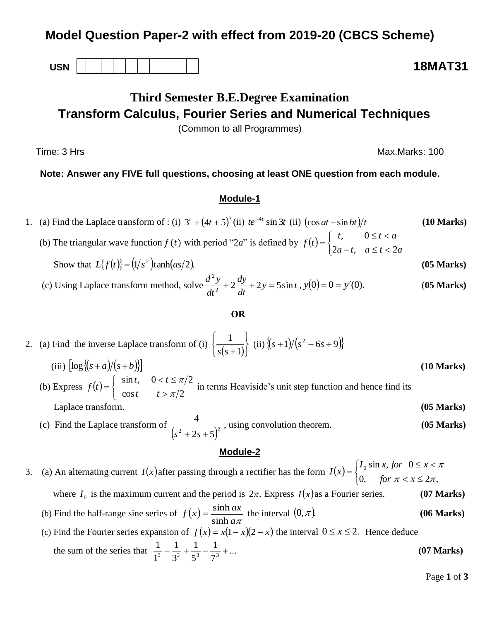## **Model Question Paper-2 with effect from 2019-20 (CBCS Scheme)**

**USN 18MAT31**

# **Third Semester B.E.Degree Examination Transform Calculus, Fourier Series and Numerical Techniques**

(Common to all Programmes)

Time: 3 Hrs Max.Marks: 100

## **Note: Answer any FIVE full questions, choosing at least ONE question from each module.**

## **Module-1**

1. (a) Find the Laplace transform of : (i)  $3^t + (4t + 5)^3$  (ii)  $te^{-4t} \sin 3t$  (ii)  $(\cos at - \sin bt)/t$  (10 Marks)

(b) The triangular wave function  $f(t)$  with period "2*a*" is defined by  $f(t)$  $\overline{\mathcal{L}}$ ┤  $\left\lceil$  $-t, a \leq t <$  $\leq t <$  $=$  $a-t$ ,  $a \le t < 2a$  $t, \qquad 0 \leq t < a$ *f t*  $2a-t$ ,  $a \leq t < 2$ , 0 Show that  $L\{f(t)\} = (1/s^2)\tanh(as/2)$ . (05 Marks)

(c) Using Laplace transform method, solve 
$$
\frac{d^2y}{dt^2} + 2\frac{dy}{dt} + 2y = 5\sin t, y(0) = 0 = y'(0).
$$
 (05 Marks)

## **OR**

2. (a) Find the inverse Laplace transform of (i)  $\frac{1}{(s+1)}$  $\mathbf{I}$  $\overline{\mathcal{L}}$ ⇃  $\int$  $+1$ 1 *s s*  $\langle (ii) \sqrt{(s+1)/(s^2+6s+9)} \rangle$ (iii)  $\log \{(s+a)/(s+b)\}$  (10 Marks) (b) Express  $f(t)$  $\overline{\mathcal{L}}$ ┤  $\left($  $>$  $lt t \leq$  $=$  $\cos t$   $t > \pi/2$  $\sin t$ ,  $0 < t \leq \pi/2$ π π *t t*  $t, \quad 0 < t$  $f(t) = \begin{cases}$  since  $\sqrt{t} = \sqrt{t^2}$  in terms Heaviside's unit step function and hence find its Laplace transform. **(05 Marks)**

 (c) Find the Laplace transform of  $(s^2 + 2s + 5)^2$ 4  $s^2 + 2s +$ , using convolution theorem. **(05 Marks)**

## **Module-2**

3. (a) An alternating current  $I(x)$  after passing through a rectifier has the form  $I(x)$  $\overline{\mathcal{L}}$ ⇃  $\left\lceil \right\rceil$  $\langle x \rangle$  $\leq x <$  $=$ 0, for  $\pi < x \leq 2\pi$ ,  $\sin x$ , for 0  $\pi < x \leq 2\pi$ π *for*  $\pi < x$  $I_0$  sin *x*, for  $0 \le x$ *I x* where  $I_0$  is the maximum current and the period is  $2\pi$ . Express  $I(x)$  as a Fourier series. **(07 Marks)** 

(b) Find the half-range sine series of  $f(x)$  $a\pi$  $f(x) = \frac{\sinh ax}{1}$ sinh  $=\frac{\sinh ax}{\sinh ax}$  the interval 0, . **(06 Marks)**

#### (c) Find the Fourier series expansion of  $f(x) = x(1-x)(2-x)$  the interval  $0 \le x \le 2$ . Hence deduce the sum of the series that  $\frac{1}{13} - \frac{1}{23} + \frac{1}{33} - \frac{1}{33} + \dots$ 7 1 5 1 3 1 1 1  $\frac{1}{3} - \frac{1}{2^3} + \frac{1}{5^3} - \frac{1}{7^3} + \dots$  (07 Marks)

Page **1** of **3**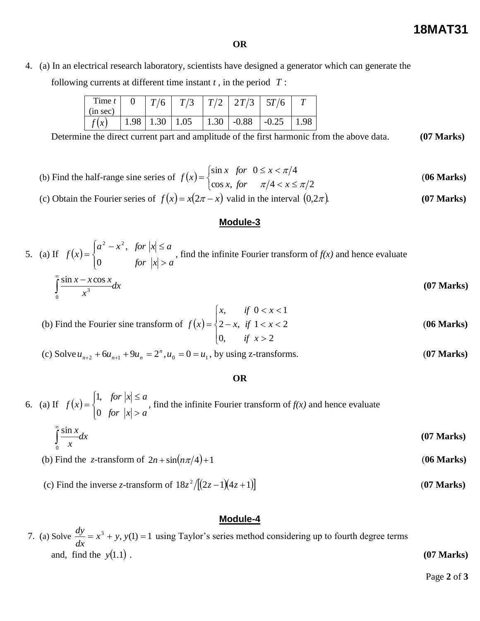### **OR**

4. (a) In an electrical research laboratory, scientists have designed a generator which can generate the

following currents at different time instant *t* , in the period *T* :

| Time $t$<br>(in sec) |      | T/6  |      |                    | $\mid T/2 \mid 2T/3 \mid$ | 5T/6    |       |
|----------------------|------|------|------|--------------------|---------------------------|---------|-------|
|                      | 1.98 | 1.30 | 1.05 | $\vert 1.30 \vert$ | $-0.88$                   | $-0.25$ | . .98 |

Determine the direct current part and amplitude of the first harmonic from the above data. **(07 Marks)**

- (b) Find the half-range sine series of  $f(x)$  $\overline{\mathcal{L}}$ ⇃  $\left\lceil$  $\langle x \rangle$  $\leq x <$  $=$  $\cos x$ , for  $\pi/4 < x \leq \pi/2$  $\sin x$  for  $0 \le x < \pi/4$  $\pi$ /4  $\lt x \leq \pi$ π *x*, for  $\pi/4 < x$ *x for*  $0 \leq x$  $f(x) = \begin{cases} \sin x & \text{if } x \neq 0 \\ 0 & \text{if } x = 0 \end{cases}$  (06 Marks)
- (c) Obtain the Fourier series of  $f(x) = x(2\pi x)$  valid in the interval 0,2 . **(07 Marks)**

### **Module-3**

#### 5. (a) If  $f(x)$  $\overline{\mathcal{L}}$  $\vert$ ┤  $\left($  $>$  $-x^2$ , for  $|x| \leq$  $=$ *for*  $|x| > a$  $a^2 - x^2$ , for  $|x| \le a$ *f x* 0  $x^2 - x^2$ , , find the infinite Fourier transform of  $f(x)$  and hence evaluate  $\int_{0}^{\infty} \frac{\sin x - x \cos x}{x^3} dx$  $\int_{0}^{\infty} \sin x - x \cos x$ **(07 Marks)**

$$
\int_{0}^{\infty} \frac{dx}{x^3}
$$
 (U) Marks)

(b) Find the Fourier sine transform of 
$$
f(x) = \begin{cases} x, & \text{if } 0 < x < 1 \\ 2 - x, & \text{if } 1 < x < 2 \\ 0, & \text{if } x > 2 \end{cases}
$$
 (06 Marks)

(c) Solve  $u_{n+2} + 6u_{n+1} + 9u_n = 2^n$ ,  $u_0 = 0 = u_1$ , by using z-transforms. (**07 Marks**)

### **OR**

#### 6. (a) If  $f(x)$  $\overline{\mathcal{L}}$  $\mathbf{I}$ ⇃  $\left($  $>$  $\leq$  $=$ *for*  $|x| > a$ *for*  $|x| \leq a$ *f x* 0 1, , find the infinite Fourier transform of  $f(x)$  and hence evaluate

$$
\int_{0}^{\infty} \frac{\sin x}{x} dx
$$
 (07 Marks)

(b) Find the *z*-transform of  $2n + \sin(n\pi/4) + 1$  (06 Marks)

## (c) Find the inverse *z*-transform of  $18z^2/[(2z-1)(4z+1)]$  (07 Marks)

## **Module-4**

7. (a) Solve  $\frac{dy}{dx} = x^3 + y$ ,  $y(1) = 1$ *dx*  $\frac{dy}{dx} = x^3 + y$ , y(1) = 1 using Taylor's series method considering up to fourth degree terms and, find the  $y(1.1)$ .  $y(1.1)$ . **(07 Marks)** 

Page **2** of **3**